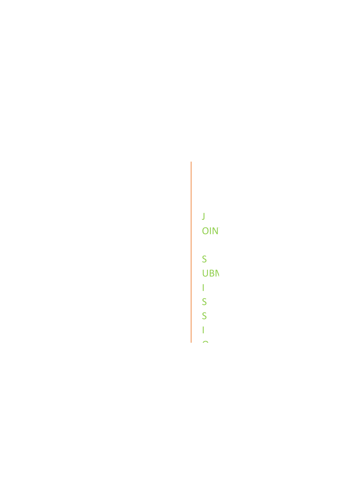J OINT. S UBM I S S I

O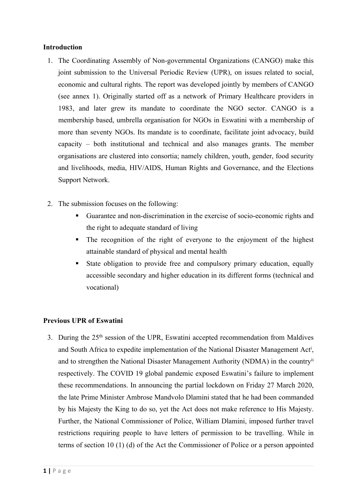### **Introduction**

- 1. The Coordinating Assembly of Non-governmental Organizations (CANGO) make this joint submission to the Universal Periodic Review (UPR), on issues related to social, economic and cultural rights. The repor<sup>t</sup> was developed jointly by members of CANGO (see annex 1). Originally started off as <sup>a</sup> network of Primary Healthcare providers in 1983, and later grew its mandate to coordinate the NGO sector. CANGO is <sup>a</sup> membership based, umbrella organisation for NGOs in Eswatini with <sup>a</sup> membership of more than seventy NGOs. Its mandate is to coordinate, facilitate joint advocacy, build capacity – both institutional and technical and also manages grants. The member organisations are clustered into consortia; namely children, youth, gender, food security and livelihoods, media, HIV/AIDS, Human Rights and Governance, and the Elections Support Network.
- 2. The submission focuses on the following:
	- Guarantee and non-discrimination in the exercise of socio-economic rights and the right to adequate standard of living
	- The recognition of the right of everyone to the enjoyment of the highest attainable standard of physical and mental health
	- Г State obligation to provide free and compulsory primary education, equally accessible secondary and higher education in its different forms (technical and vocational)

# **Previous UPR of Eswatini**

3. During the 25<sup>th</sup> session of the UPR, Eswatini accepted recommendation from Maldives and South Africa to expedite implementation of the National Disaster Management Act<sup>i</sup>, and to strengthen the National Disaster Management Authority (NDMA) in the countryii respectively. The COVID 19 global pandemic exposed Eswatini'<sup>s</sup> failure to implement these recommendations. In announcing the partial lockdown on Friday 27 March 2020, the late Prime Minister Ambrose Mandvolo Dlamini stated that he had been commanded by his Majesty the King to do so, ye<sup>t</sup> the Act does not make reference to His Majesty. Further, the National Commissioner of Police, William Dlamini, imposed further travel restrictions requiring people to have letters of permission to be travelling. While in terms of section 10 (1) (d) of the Act the Commissioner of Police or <sup>a</sup> person appointed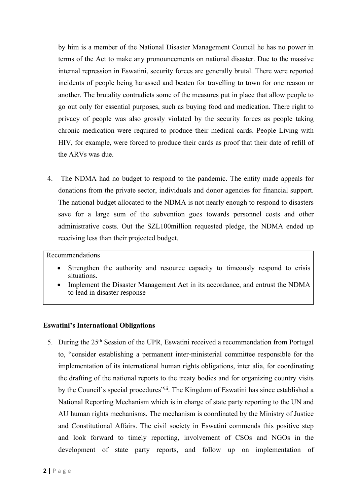by him is <sup>a</sup> member of the National Disaster Management Council he has no power in terms of the Act to make any pronouncements on national disaster. Due to the massive internal repression in Eswatini, security forces are generally brutal. There were reported incidents of people being harassed and beaten for travelling to town for one reason or another. The brutality contradicts some of the measures pu<sup>t</sup> in place that allow people to go out only for essential purposes, such as buying food and medication. There right to privacy of people was also grossly violated by the security forces as people taking chronic medication were required to produce their medical cards. People Living with HIV, for example, were forced to produce their cards as proof that their date of refill of the ARVs was due.

4. The NDMA had no budget to respond to the pandemic. The entity made appeals for donations from the private sector, individuals and donor agencies for financial support. The national budget allocated to the NDMA is not nearly enough to respond to disasters save for <sup>a</sup> large sum of the subvention goes towards personnel costs and other administrative costs. Out the SZL100million requested pledge, the NDMA ended up receiving less than their projected budget.

# Recommendations

- e Strengthen the authority and resource capacity to timeously respond to crisis situations.
- c Implement the Disaster Management Act in its accordance, and entrust the NDMA to lead in disaster response

# **Eswatini'<sup>s</sup> International Obligations**

5. During the 25<sup>th</sup> Session of the UPR, Eswatini received a recommendation from Portugal to, "consider establishing <sup>a</sup> permanen<sup>t</sup> inter-ministerial committee responsible for the implementation of its international human rights obligations, inter alia, for coordinating the drafting of the national reports to the treaty bodies and for organizing country visits by the Council's special procedures"iii. The Kingdom of Eswatini has since established a National Reporting Mechanism which is in charge of state party reporting to the UN and AU human rights mechanisms. The mechanism is coordinated by the Ministry of Justice and Constitutional Affairs. The civil society in Eswatini commends this positive step and look forward to timely reporting, involvement of CSOs and NGOs in the development of state party reports, and follow up on implementation of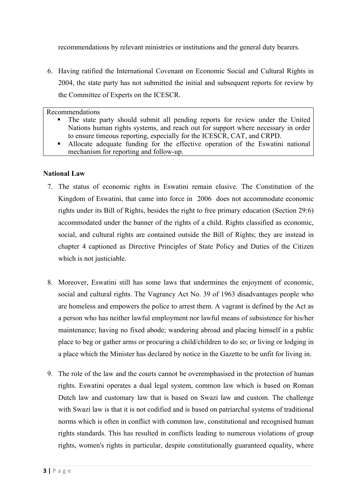recommendations by relevant ministries or institutions and the general duty bearers.

6. Having ratified the International Covenant on Economic Social and Cultural Rights in 2004, the state party has not submitted the initial and subsequent reports for review by the Committee of Experts on the ICESCR.

Recommendations

- Г The state party should submit all pending reports for review under the United Nations human rights systems, and reach out for suppor<sup>t</sup> where necessary in order to ensure timeous reporting, especially for the ICESCR, CAT, and CRPD.
- Allocate adequate funding for the effective operation of the Eswatini national mechanism for reporting and follow-up.

### **National Law**

- 7. The status of economic rights in Eswatini remain elusive. The Constitution of the Kingdom of Eswatini, that came into force in 2006 does not accommodate economic rights under its Bill of Rights, besides the right to free primary education (Section 29:6) accommodated under the banner of the rights of <sup>a</sup> child. Rights classified as economic, social, and cultural rights are contained outside the Bill of Rights; they are instead in chapter 4 captioned as Directive Principles of State Policy and Duties of the Citizen which is not justiciable.
- 8. Moreover, Eswatini still has some laws that undermines the enjoyment of economic, social and cultural rights. The Vagrancy Act No. 39 of 1963 disadvantages people who are homeless and empowers the police to arrest them. A vagran<sup>t</sup> is defined by the Act as <sup>a</sup> person who has neither lawful employment nor lawful means of subsistence for his/her maintenance; having no fixed abode; wandering abroad and placing himself in <sup>a</sup> public place to beg or gather arms or procuring <sup>a</sup> child/children to do so; or living or lodging in <sup>a</sup> place which the Minister has declared by notice in the Gazette to be unfit for living in.
- 9. The role of the law and the courts cannot be overemphasised in the protection of human rights. Eswatini operates <sup>a</sup> dual legal system, common law which is based on Roman Dutch law and customary law that is based on Swazi law and custom. The challenge with Swazi law is that it is not codified and is based on patriarchal systems of traditional norms which is often in conflict with common law, constitutional and recognised human rights standards. This has resulted in conflicts leading to numerous violations of group rights, women's rights in particular, despite constitutionally guaranteed equality, where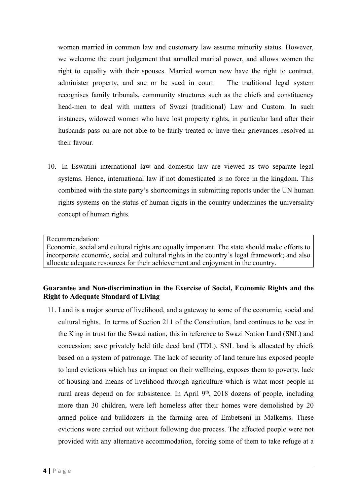women married in common law and customary law assume minority status. However, we welcome the court judgement that annulled marital power, and allows women the right to equality with their spouses. Married women now have the right to contract, administer property, and sue or be sued in court. The traditional legal system recognises family tribunals, community structures such as the chiefs and constituency head-men to deal with matters of Swazi (traditional) Law and Custom. In such instances, widowed women who have lost property rights, in particular land after their husbands pass on are not able to be fairly treated or have their grievances resolved in their favour.

10. In Eswatini international law and domestic law are viewed as two separate legal systems. Hence, international law if not domesticated is no force in the kingdom. This combined with the state party'<sup>s</sup> shortcomings in submitting reports under the UN human rights systems on the status of human rights in the country undermines the universality concep<sup>t</sup> of human rights.

Recommendation:

Economic, social and cultural rights are equally important. The state should make efforts to incorporate economic, social and cultural rights in the country'<sup>s</sup> legal framework; and also allocate adequate resources for their achievement and enjoyment in the country.

# **Guarantee and Non-discrimination in the Exercise of Social, Economic Rights and the Right to Adequate Standard of Living**

11. Land is <sup>a</sup> major source of livelihood, and <sup>a</sup> gateway to some of the economic, social and cultural rights. In terms of Section 211 of the Constitution, land continues to be vest in the King in trust for the Swazi nation, this in reference to Swazi Nation Land (SNL) and concession; save privately held title deed land (TDL). SNL land is allocated by chiefs based on <sup>a</sup> system of patronage. The lack of security of land tenure has exposed people to land evictions which has an impact on their wellbeing, exposes them to poverty, lack of housing and means of livelihood through agriculture which is what most people in rural areas depend on for subsistence. In April 9<sup>th</sup>, 2018 dozens of people, including more than 30 children, were left homeless after their homes were demolished by 20 armed police and bulldozers in the farming area of Embetseni in Malkerns. These evictions were carried out without following due process. The affected people were not provided with any alternative accommodation, forcing some of them to take refuge at <sup>a</sup>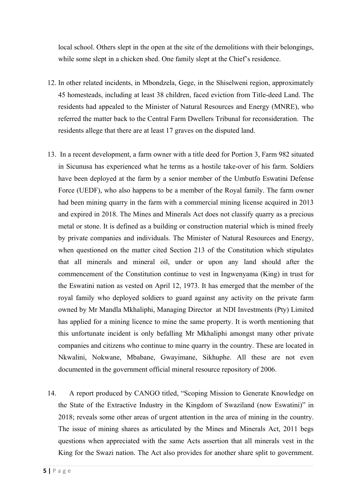local school. Others slept in the open at the site of the demolitions with their belongings, while some slept in <sup>a</sup> chicken shed. One family slept at the Chief'<sup>s</sup> residence.

- 12. In other related incidents, in Mbondzela, Gege, in the Shiselweni region, approximately 45 homesteads, including at least 38 children, faced eviction from Title-deed Land. The residents had appealed to the Minister of Natural Resources and Energy (MNRE), who referred the matter back to the Central Farm Dwellers Tribunal for reconsideration. The residents allege that there are at least 17 graves on the disputed land.
- 13. In <sup>a</sup> recent development, <sup>a</sup> farm owner with <sup>a</sup> title deed for Portion 3, Farm 982 situated in Sicunusa has experienced what he terms as <sup>a</sup> hostile take-over of his farm. Soldiers have been deployed at the farm by <sup>a</sup> senior member of the Umbutfo Eswatini Defense Force (UEDF), who also happens to be <sup>a</sup> member of the Royal family. The farm owner had been mining quarry in the farm with <sup>a</sup> commercial mining license acquired in 2013 and expired in 2018. The Mines and Minerals Act does not classify quarry as <sup>a</sup> precious metal or stone. It is defined as <sup>a</sup> building or construction material which is mined freely by private companies and individuals. The Minister of Natural Resources and Energy, when questioned on the matter cited Section 213 of the Constitution which stipulates that all minerals and mineral oil, under or upon any land should after the commencement of the Constitution continue to vest in Ingwenyama (King) in trust for the Eswatini nation as vested on April 12, 1973. It has emerged that the member of the royal family who deployed soldiers to guard against any activity on the private farm owned by Mr Mandla Mkhaliphi, Managing Director at NDI Investments (Pty) Limited has applied for <sup>a</sup> mining licence to mine the same property. It is worth mentioning that this unfortunate incident is only befalling Mr Mkhaliphi amongs<sup>t</sup> many other private companies and citizens who continue to mine quarry in the country. These are located in Nkwalini, Nokwane, Mbabane, Gwayimane, Sikhuphe. All these are not even documented in the governmen<sup>t</sup> official mineral resource repository of 2006.
- 14. A repor<sup>t</sup> produced by CANGO titled, "Scoping Mission to Generate Knowledge on the State of the Extractive Industry in the Kingdom of Swaziland (now Eswatini)" in 2018; reveals some other areas of urgen<sup>t</sup> attention in the area of mining in the country. The issue of mining shares as articulated by the Mines and Minerals Act, 2011 begs questions when appreciated with the same Acts assertion that all minerals vest in the King for the Swazi nation. The Act also provides for another share split to government.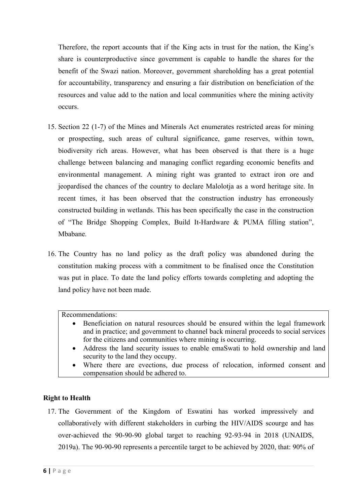Therefore, the repor<sup>t</sup> accounts that if the King acts in trust for the nation, the King'<sup>s</sup> share is counterproductive since governmen<sup>t</sup> is capable to handle the shares for the benefit of the Swazi nation. Moreover, governmen<sup>t</sup> shareholding has <sup>a</sup> grea<sup>t</sup> potential for accountability, transparency and ensuring <sup>a</sup> fair distribution on beneficiation of the resources and value add to the nation and local communities where the mining activity occurs.

- 15. Section 22 (1-7) of the Mines and Minerals Act enumerates restricted areas for mining or prospecting, such areas of cultural significance, game reserves, within town, biodiversity rich areas. However, what has been observed is that there is <sup>a</sup> huge challenge between balancing and managing conflict regarding economic benefits and environmental management. A mining right was granted to extract iron ore and jeopardised the chances of the country to declare Malolotja as <sup>a</sup> word heritage site. In recent times, it has been observed that the construction industry has erroneously constructed building in wetlands. This has been specifically the case in the construction of "The Bridge Shopping Complex, Build It-Hardware & PUMA filling station", Mbabane.
- 16. The Country has no land policy as the draft policy was abandoned during the constitution making process with <sup>a</sup> commitment to be finalised once the Constitution was pu<sup>t</sup> in place. To date the land policy efforts towards completing and adopting the land policy have not been made.

#### Recommendations:

- Beneficiation on natural resources should be ensured within the legal framework and in practice; and governmen<sup>t</sup> to channel back mineral proceeds to social services for the citizens and communities where mining is occurring.
- 6 Address the land security issues to enable emaSwati to hold ownership and land security to the land they occupy.
- $\bullet$  Where there are evections, due process of relocation, informed consent and compensation should be adhered to.

#### **Right to Health**

17. The Government of the Kingdom of Eswatini has worked impressively and collaboratively with different stakeholders in curbing the HIV/AIDS scourge and has over-achieved the 90-90-90 global target to reaching 92-93-94 in 2018 (UNAIDS, 2019a). The 90-90-90 represents <sup>a</sup> percentile target to be achieved by 2020, that: 90% of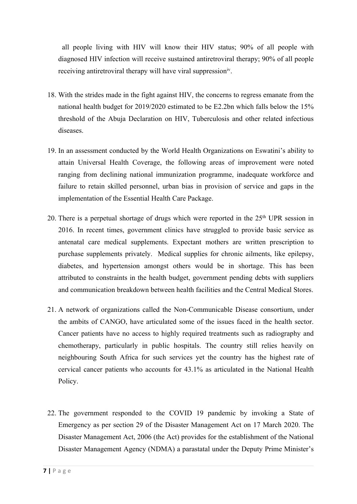all people living with HIV will know their HIV status; 90% of all people with diagnosed HIV infection will receive sustained antiretroviral therapy; 90% of all people receiving antiretroviral therapy will have viral suppression<sup>iv</sup>.

- 18. With the strides made in the fight against HIV, the concerns to regress emanate from the national health budget for 2019/2020 estimated to be E2.2bn which falls below the 15% threshold of the Abuja Declaration on HIV, Tuberculosis and other related infectious diseases.
- 19. In an assessment conducted by the World Health Organizations on Eswatini'<sup>s</sup> ability to attain Universal Health Coverage, the following areas of improvement were noted ranging from declining national immunization programme, inadequate workforce and failure to retain skilled personnel, urban bias in provision of service and gaps in the implementation of the Essential Health Care Package.
- 20. There is a perpetual shortage of drugs which were reported in the 25<sup>th</sup> UPR session in 2016. In recent times, governmen<sup>t</sup> clinics have struggled to provide basic service as antenatal care medical supplements. Expectant mothers are written prescription to purchase supplements privately. Medical supplies for chronic ailments, like epilepsy, diabetes, and hypertension amongs<sup>t</sup> others would be in shortage. This has been attributed to constraints in the health budget, governmen<sup>t</sup> pending debts with suppliers and communication breakdown between health facilities and the Central Medical Stores.
- 21. Anetwork of organizations called the Non-Communicable Disease consortium, under the ambits of CANGO, have articulated some of the issues faced in the health sector. Cancer patients have no access to highly required treatments such as radiography and chemotherapy, particularly in public hospitals. The country still relies heavily on neighbouring South Africa for such services ye<sup>t</sup> the country has the highest rate of cervical cancer patients who accounts for 43.1% as articulated in the National Health Policy.
- 22. The governmen<sup>t</sup> responded to the COVID 19 pandemic by invoking <sup>a</sup> State of Emergency as per section 29 of the Disaster Management Act on 17 March 2020. The Disaster Management Act, 2006 (the Act) provides for the establishment of the National Disaster Management Agency (NDMA) <sup>a</sup> parastatal under the Deputy Prime Minister'<sup>s</sup>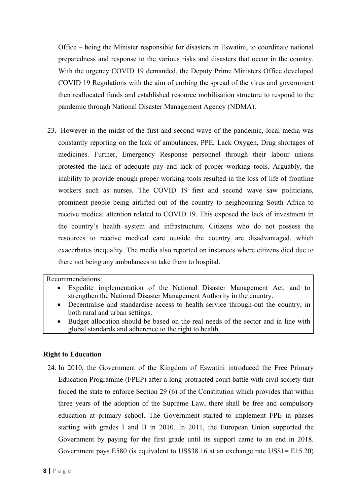Office – being the Minister responsible for disasters in Eswatini, to coordinate national preparedness and response to the various risks and disasters that occur in the country. With the urgency COVID 19 demanded, the Deputy Prime Ministers Office developed COVID 19 Regulations with the aim of curbing the spread of the virus and governmen<sup>t</sup> then reallocated funds and established resource mobilisation structure to respond to the pandemic through National Disaster Management Agency (NDMA).

23. However in the midst of the first and second wave of the pandemic, local media was constantly reporting on the lack of ambulances, PPE, Lack Oxygen, Drug shortages of medicines. Further, Emergency Response personnel through their labour unions protested the lack of adequate pay and lack of proper working tools. Arguably, the inability to provide enough proper working tools resulted in the loss of life of frontline workers such as nurses. The COVID 19 first and second wave saw politicians, prominent people being airlifted out of the country to neighbouring South Africa to receive medical attention related to COVID 19. This exposed the lack of investment in the country'<sup>s</sup> health system and infrastructure. Citizens who do not possess the resources to receive medical care outside the country are disadvantaged, which exacerbates inequality. The media also reported on instances where citizens died due to there not being any ambulances to take them to hospital.

Recommendations:

- c Expedite implementation of the National Disaster Management Act, and to strengthen the National Disaster Management Authority in the country.
- Decentralise and standardise access to health service through-out the country, in both rural and urban settings.
- e Budget allocation should be based on the real needs of the sector and in line with global standards and adherence to the right to health.

# **Right to Education**

24. In 2010, the Government of the Kingdom of Eswatini introduced the Free Primary Education Programme (FPEP) after <sup>a</sup> long-protracted court battle with civil society that forced the state to enforce Section 29 (6) of the Constitution which provides that within three years of the adoption of the Supreme Law, there shall be free and compulsory education at primary school. The Government started to implement FPE in phases starting with grades I and II in 2010. In 2011, the European Union supported the Government by paying for the first grade until its suppor<sup>t</sup> came to an end in 2018. Government pays E580 (is equivalent to US\$38.16 at an exchange rate US\$1= E15.20)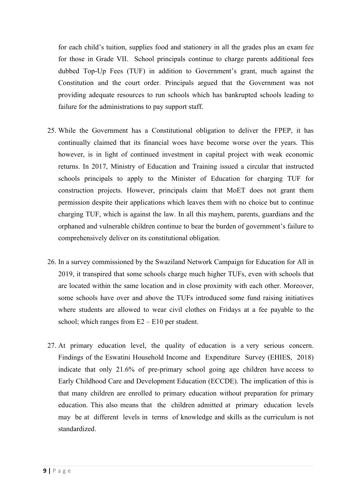for each child'<sup>s</sup> tuition, supplies food and stationery in all the grades plus an exam fee for those in Grade VII. School principals continue to charge parents additional fees dubbed Top-Up Fees (TUF) in addition to Government'<sup>s</sup> grant, much against the Constitution and the court order. Principals argued that the Government was not providing adequate resources to run schools which has bankrupted schools leading to failure for the administrations to pay suppor<sup>t</sup> staff.

- 25. While the Government has <sup>a</sup> Constitutional obligation to deliver the FPEP, it has continually claimed that its financial woes have become worse over the years. This however, is in light of continued investment in capital project with weak economic returns. In 2017, Ministry of Education and Training issued <sup>a</sup> circular that instructed schools principals to apply to the Minister of Education for charging TUF for construction projects. However, principals claim that MoET does not gran<sup>t</sup> them permission despite their applications which leaves them with no choice but to continue charging TUF, which is against the law. In all this mayhem, parents, guardians and the orphaned and vulnerable children continue to bear the burden of government'<sup>s</sup> failure to comprehensively deliver on its constitutional obligation.
- 26. In <sup>a</sup> survey commissioned by the Swaziland Network Campaign for Education for All in 2019, it transpired that some schools charge much higher TUFs, even with schools that are located within the same location and in close proximity with each other. Moreover, some schools have over and above the TUFs introduced some fund raising initiatives where students are allowed to wear civil clothes on Fridays at <sup>a</sup> fee payable to the school; which ranges from  $E2 - E10$  per student.
- 27. At primary education level, the quality of education is <sup>a</sup> very serious concern. Findings of the Eswatini Household Income and Expenditure Survey (EHIES, 2018) indicate that only 21.6% of pre-primary school going age children have access to Early Childhood Care and Development Education (ECCDE). The implication of this is that many children are enrolled to primary education without preparation for primary education. This also means that the children admitted at primary education levels may be at different levels in terms of knowledge and skills as the curriculum is not standardized.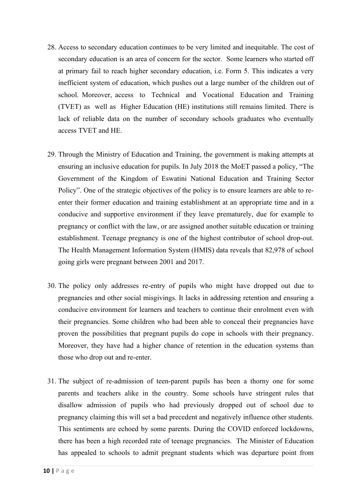- 28. Access to secondary education continues to be very limited and inequitable. The cost of secondary education is an area of concern for the sector. Some learners who started off at primary fail to reach higher secondary education, i.e. Form 5. This indicates <sup>a</sup> very inefficient system of education, which pushes out <sup>a</sup> large number of the children out of school. Moreover, access to Technical and Vocational Education and Training (TVET) as well as Higher Education (HE) institutions still remains limited. There is lack of reliable data on the number of secondary schools graduates who eventually access TVET and HE.
- 29. Through the Ministry of Education and Training, the governmen<sup>t</sup> is making attempts at ensuring an inclusive education for pupils. In July 2018 the MoET passed <sup>a</sup> policy, "The Government of the Kingdom of Eswatini National Education and Training Sector Policy". One of the strategic objectives of the policy is to ensure learners are able to reenter their former education and training establishment at an appropriate time and in <sup>a</sup> conducive and supportive environment if they leave prematurely, due for example to pregnancy or conflict with the law, or are assigned another suitable education or training establishment. Teenage pregnancy is one of the highest contributor of school drop-out. The Health Management Information System (HMIS) data reveals that 82,978 of school going girls were pregnan<sup>t</sup> between 2001 and 2017.
- 30. The policy only addresses re-entry of pupils who might have dropped out due to pregnancies and other social misgivings. It lacks in addressing retention and ensuring <sup>a</sup> conducive environment for learners and teachers to continue their enrolment even with their pregnancies. Some children who had been able to conceal their pregnancies have proven the possibilities that pregnan<sup>t</sup> pupils do cope in schools with their pregnancy. Moreover, they have had <sup>a</sup> higher chance of retention in the education systems than those who drop out and re-enter.
- 31. The subject of re-admission of teen-parent pupils has been <sup>a</sup> thorny one for some parents and teachers alike in the country. Some schools have stringent rules that disallow admission of pupils who had previously dropped out of school due to pregnancy claiming this will set <sup>a</sup> bad precedent and negatively influence other students. This sentiments are echoed by some parents. During the COVID enforced lockdowns, there has been <sup>a</sup> high recorded rate of teenage pregnancies. The Minister of Education has appealed to schools to admit pregnan<sup>t</sup> students which was departure point from